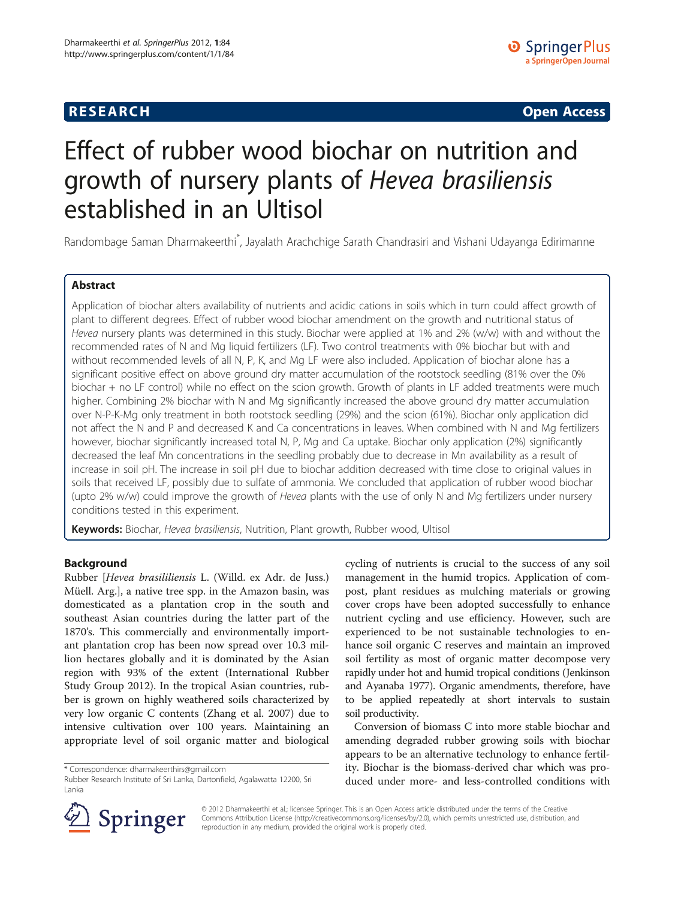# **RESEARCH CHINESE ARCH CHINESE ARCH CHINESE ARCH <b>CHINESE ARCH**

# Effect of rubber wood biochar on nutrition and growth of nursery plants of Hevea brasiliensis established in an Ultisol

Randombage Saman Dharmakeerthi<sup>\*</sup>, Jayalath Arachchige Sarath Chandrasiri and Vishani Udayanga Edirimanne

## Abstract

Application of biochar alters availability of nutrients and acidic cations in soils which in turn could affect growth of plant to different degrees. Effect of rubber wood biochar amendment on the growth and nutritional status of Hevea nursery plants was determined in this study. Biochar were applied at 1% and 2% (w/w) with and without the recommended rates of N and Mg liquid fertilizers (LF). Two control treatments with 0% biochar but with and without recommended levels of all N, P, K, and Mg LF were also included. Application of biochar alone has a significant positive effect on above ground dry matter accumulation of the rootstock seedling (81% over the 0% biochar + no LF control) while no effect on the scion growth. Growth of plants in LF added treatments were much higher. Combining 2% biochar with N and Mg significantly increased the above ground dry matter accumulation over N-P-K-Mg only treatment in both rootstock seedling (29%) and the scion (61%). Biochar only application did not affect the N and P and decreased K and Ca concentrations in leaves. When combined with N and Mg fertilizers however, biochar significantly increased total N, P, Mg and Ca uptake. Biochar only application (2%) significantly decreased the leaf Mn concentrations in the seedling probably due to decrease in Mn availability as a result of increase in soil pH. The increase in soil pH due to biochar addition decreased with time close to original values in soils that received LF, possibly due to sulfate of ammonia. We concluded that application of rubber wood biochar (upto 2% w/w) could improve the growth of Hevea plants with the use of only N and Mg fertilizers under nursery conditions tested in this experiment.

Keywords: Biochar, Hevea brasiliensis, Nutrition, Plant growth, Rubber wood, Ultisol

## **Background**

Rubber [Hevea brasililiensis L. (Willd. ex Adr. de Juss.) Müell. Arg.], a native tree spp. in the Amazon basin, was domesticated as a plantation crop in the south and southeast Asian countries during the latter part of the 1870's. This commercially and environmentally important plantation crop has been now spread over 10.3 million hectares globally and it is dominated by the Asian region with 93% of the extent (International Rubber Study Group [2012](#page-10-0)). In the tropical Asian countries, rubber is grown on highly weathered soils characterized by very low organic C contents (Zhang et al. [2007](#page-11-0)) due to intensive cultivation over 100 years. Maintaining an appropriate level of soil organic matter and biological

\* Correspondence: [dharmakeerthirs@gmail.com](mailto:dharmakeerthirs@gmail.com)

cycling of nutrients is crucial to the success of any soil management in the humid tropics. Application of compost, plant residues as mulching materials or growing cover crops have been adopted successfully to enhance nutrient cycling and use efficiency. However, such are experienced to be not sustainable technologies to enhance soil organic C reserves and maintain an improved soil fertility as most of organic matter decompose very rapidly under hot and humid tropical conditions (Jenkinson and Ayanaba [1977](#page-10-0)). Organic amendments, therefore, have to be applied repeatedly at short intervals to sustain soil productivity.

Conversion of biomass C into more stable biochar and amending degraded rubber growing soils with biochar appears to be an alternative technology to enhance fertility. Biochar is the biomass-derived char which was produced under more- and less-controlled conditions with



© 2012 Dharmakeerthi et al.; licensee Springer. This is an Open Access article distributed under the terms of the Creative Commons Attribution License (<http://creativecommons.org/licenses/by/2.0>), which permits unrestricted use, distribution, and reproduction in any medium, provided the original work is properly cited.

Rubber Research Institute of Sri Lanka, Dartonfield, Agalawatta 12200, Sri Lanka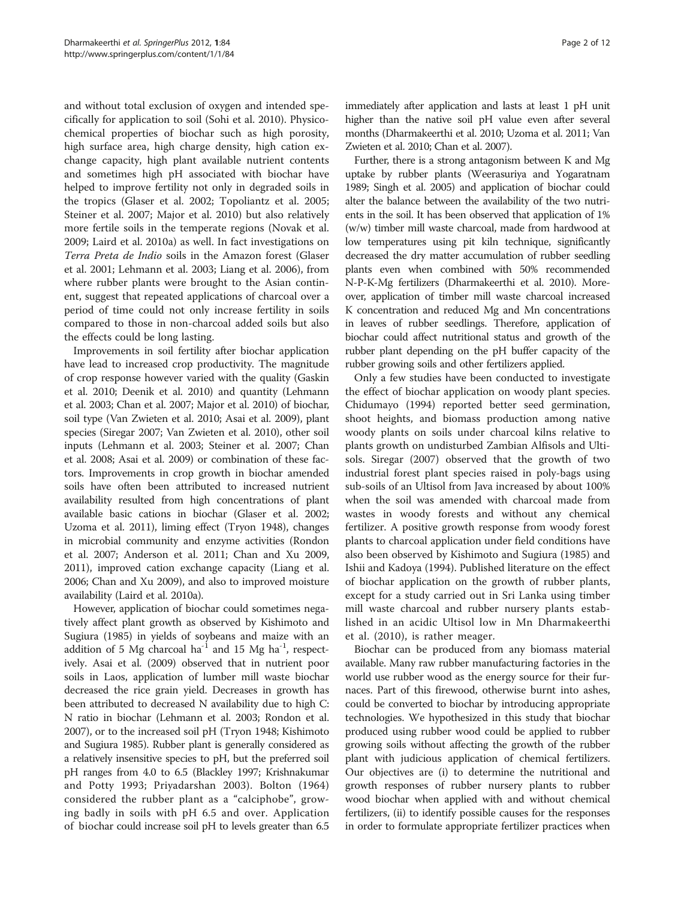and without total exclusion of oxygen and intended specifically for application to soil (Sohi et al. [2010\)](#page-11-0). Physicochemical properties of biochar such as high porosity, high surface area, high charge density, high cation exchange capacity, high plant available nutrient contents and sometimes high pH associated with biochar have helped to improve fertility not only in degraded soils in the tropics (Glaser et al. [2002;](#page-10-0) Topoliantz et al. [2005](#page-11-0); Steiner et al. [2007;](#page-11-0) Major et al. [2010](#page-11-0)) but also relatively more fertile soils in the temperate regions (Novak et al. [2009](#page-11-0); Laird et al. [2010a\)](#page-10-0) as well. In fact investigations on Terra Preta de Indio soils in the Amazon forest (Glaser et al. [2001](#page-10-0); Lehmann et al. [2003;](#page-10-0) Liang et al. [2006](#page-11-0)), from where rubber plants were brought to the Asian continent, suggest that repeated applications of charcoal over a period of time could not only increase fertility in soils compared to those in non-charcoal added soils but also the effects could be long lasting.

Improvements in soil fertility after biochar application have lead to increased crop productivity. The magnitude of crop response however varied with the quality (Gaskin et al. [2010](#page-10-0); Deenik et al. [2010](#page-10-0)) and quantity (Lehmann et al. [2003](#page-10-0); Chan et al. [2007;](#page-10-0) Major et al. [2010](#page-11-0)) of biochar, soil type (Van Zwieten et al. [2010;](#page-11-0) Asai et al. [2009\)](#page-10-0), plant species (Siregar [2007;](#page-11-0) Van Zwieten et al. [2010\)](#page-11-0), other soil inputs (Lehmann et al. [2003](#page-10-0); Steiner et al. [2007](#page-11-0); Chan et al. [2008](#page-10-0); Asai et al. [2009\)](#page-10-0) or combination of these factors. Improvements in crop growth in biochar amended soils have often been attributed to increased nutrient availability resulted from high concentrations of plant available basic cations in biochar (Glaser et al. [2002](#page-10-0); Uzoma et al. [2011](#page-11-0)), liming effect (Tryon [1948](#page-11-0)), changes in microbial community and enzyme activities (Rondon et al. [2007](#page-11-0); Anderson et al. [2011;](#page-10-0) Chan and Xu [2009](#page-10-0), [2011\)](#page-11-0), improved cation exchange capacity (Liang et al. [2006;](#page-11-0) Chan and Xu [2009\)](#page-10-0), and also to improved moisture availability (Laird et al. [2010a](#page-10-0)).

However, application of biochar could sometimes negatively affect plant growth as observed by Kishimoto and Sugiura [\(1985\)](#page-10-0) in yields of soybeans and maize with an addition of 5 Mg charcoal ha<sup>-1</sup> and 15 Mg ha<sup>-1</sup>, respectively. Asai et al. [\(2009](#page-10-0)) observed that in nutrient poor soils in Laos, application of lumber mill waste biochar decreased the rice grain yield. Decreases in growth has been attributed to decreased N availability due to high C: N ratio in biochar (Lehmann et al. [2003](#page-10-0); Rondon et al. [2007\)](#page-11-0), or to the increased soil pH (Tryon [1948](#page-11-0); Kishimoto and Sugiura [1985](#page-10-0)). Rubber plant is generally considered as a relatively insensitive species to pH, but the preferred soil pH ranges from 4.0 to 6.5 (Blackley [1997](#page-10-0); Krishnakumar and Potty [1993](#page-10-0); Priyadarshan [2003](#page-11-0)). Bolton ([1964](#page-10-0)) considered the rubber plant as a "calciphobe", growing badly in soils with pH 6.5 and over. Application of biochar could increase soil pH to levels greater than 6.5

immediately after application and lasts at least 1 pH unit higher than the native soil pH value even after several months (Dharmakeerthi et al. [2010](#page-10-0); Uzoma et al. [2011](#page-11-0); Van Zwieten et al. [2010;](#page-11-0) Chan et al. [2007](#page-10-0)).

Further, there is a strong antagonism between K and Mg uptake by rubber plants (Weerasuriya and Yogaratnam [1989;](#page-11-0) Singh et al. [2005\)](#page-11-0) and application of biochar could alter the balance between the availability of the two nutrients in the soil. It has been observed that application of 1% (w/w) timber mill waste charcoal, made from hardwood at low temperatures using pit kiln technique, significantly decreased the dry matter accumulation of rubber seedling plants even when combined with 50% recommended N-P-K-Mg fertilizers (Dharmakeerthi et al. [2010\)](#page-10-0). Moreover, application of timber mill waste charcoal increased K concentration and reduced Mg and Mn concentrations in leaves of rubber seedlings. Therefore, application of biochar could affect nutritional status and growth of the rubber plant depending on the pH buffer capacity of the rubber growing soils and other fertilizers applied.

Only a few studies have been conducted to investigate the effect of biochar application on woody plant species. Chidumayo ([1994](#page-10-0)) reported better seed germination, shoot heights, and biomass production among native woody plants on soils under charcoal kilns relative to plants growth on undisturbed Zambian Alfisols and Ultisols. Siregar ([2007](#page-11-0)) observed that the growth of two industrial forest plant species raised in poly-bags using sub-soils of an Ultisol from Java increased by about 100% when the soil was amended with charcoal made from wastes in woody forests and without any chemical fertilizer. A positive growth response from woody forest plants to charcoal application under field conditions have also been observed by Kishimoto and Sugiura ([1985](#page-10-0)) and Ishii and Kadoya [\(1994\)](#page-10-0). Published literature on the effect of biochar application on the growth of rubber plants, except for a study carried out in Sri Lanka using timber mill waste charcoal and rubber nursery plants established in an acidic Ultisol low in Mn Dharmakeerthi et al. ([2010\)](#page-10-0), is rather meager.

Biochar can be produced from any biomass material available. Many raw rubber manufacturing factories in the world use rubber wood as the energy source for their furnaces. Part of this firewood, otherwise burnt into ashes, could be converted to biochar by introducing appropriate technologies. We hypothesized in this study that biochar produced using rubber wood could be applied to rubber growing soils without affecting the growth of the rubber plant with judicious application of chemical fertilizers. Our objectives are (i) to determine the nutritional and growth responses of rubber nursery plants to rubber wood biochar when applied with and without chemical fertilizers, (ii) to identify possible causes for the responses in order to formulate appropriate fertilizer practices when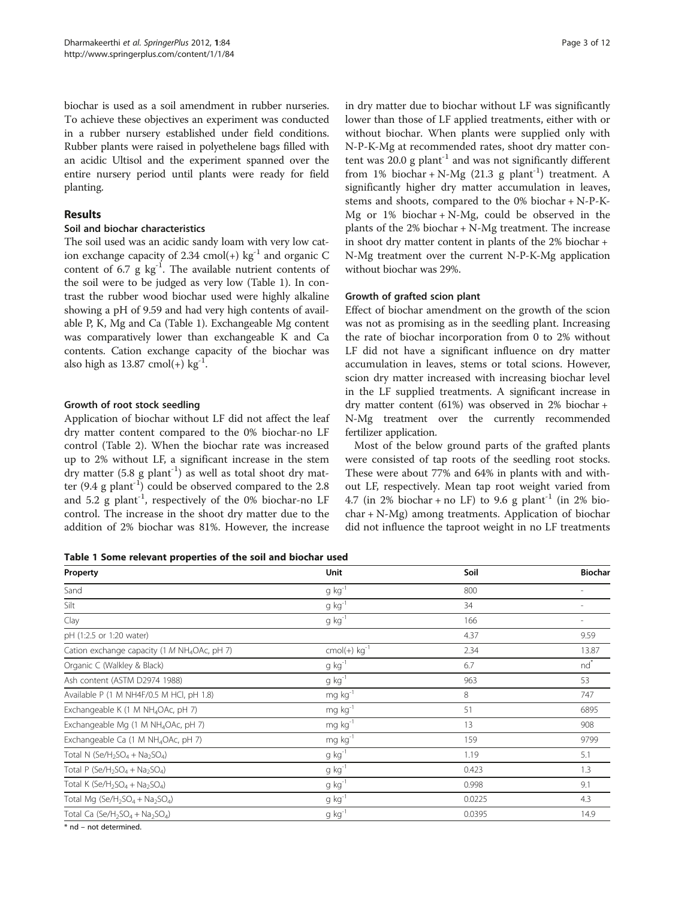<span id="page-2-0"></span>biochar is used as a soil amendment in rubber nurseries. To achieve these objectives an experiment was conducted in a rubber nursery established under field conditions. Rubber plants were raised in polyethelene bags filled with an acidic Ultisol and the experiment spanned over the entire nursery period until plants were ready for field planting.

## Results

## Soil and biochar characteristics

The soil used was an acidic sandy loam with very low cation exchange capacity of 2.34 cmol(+) kg<sup>-1</sup> and organic C content of  $6.7 \text{ g kg}^{-1}$ . The available nutrient contents of the soil were to be judged as very low (Table 1). In contrast the rubber wood biochar used were highly alkaline showing a pH of 9.59 and had very high contents of available P, K, Mg and Ca (Table 1). Exchangeable Mg content was comparatively lower than exchangeable K and Ca contents. Cation exchange capacity of the biochar was also high as  $13.87$  cmol(+) kg<sup>-1</sup>.

# Growth of root stock seedling

Application of biochar without LF did not affect the leaf dry matter content compared to the 0% biochar-no LF control (Table [2](#page-3-0)). When the biochar rate was increased up to 2% without LF, a significant increase in the stem dry matter  $(5.8 \text{ g plant}^{-1})$  as well as total shoot dry matter  $(9.4 \text{ g plant}^{-1})$  could be observed compared to the 2.8 and 5.2 g plant<sup>-1</sup>, respectively of the 0% biochar-no LF control. The increase in the shoot dry matter due to the addition of 2% biochar was 81%. However, the increase

Table 1 Some relevant properties of the soil and biochar used

in dry matter due to biochar without LF was significantly lower than those of LF applied treatments, either with or without biochar. When plants were supplied only with N-P-K-Mg at recommended rates, shoot dry matter content was  $20.0$  g plant<sup>-1</sup> and was not significantly different from 1% biochar + N-Mg  $(21.3 \text{ g plant}^{-1})$  treatment. A significantly higher dry matter accumulation in leaves, stems and shoots, compared to the 0% biochar + N-P-K-Mg or  $1\%$  biochar + N-Mg, could be observed in the plants of the 2% biochar + N-Mg treatment. The increase in shoot dry matter content in plants of the 2% biochar + N-Mg treatment over the current N-P-K-Mg application without biochar was 29%.

## Growth of grafted scion plant

Effect of biochar amendment on the growth of the scion was not as promising as in the seedling plant. Increasing the rate of biochar incorporation from 0 to 2% without LF did not have a significant influence on dry matter accumulation in leaves, stems or total scions. However, scion dry matter increased with increasing biochar level in the LF supplied treatments. A significant increase in dry matter content (61%) was observed in 2% biochar + N-Mg treatment over the currently recommended fertilizer application.

Most of the below ground parts of the grafted plants were consisted of tap roots of the seedling root stocks. These were about 77% and 64% in plants with and without LF, respectively. Mean tap root weight varied from 4.7 (in 2% biochar + no LF) to 9.6 g plant<sup>-1</sup> (in 2% biochar + N-Mg) among treatments. Application of biochar did not influence the taproot weight in no LF treatments

| Property                                                                        | Unit                       | Soil   | <b>Biochar</b>           |
|---------------------------------------------------------------------------------|----------------------------|--------|--------------------------|
| Sand                                                                            | $g kg^{-1}$                | 800    |                          |
| Silt                                                                            | $g kg^{-1}$                | 34     |                          |
| Clay                                                                            | $g kg^{-1}$                | 166    | $\overline{\phantom{a}}$ |
| pH (1:2.5 or 1:20 water)                                                        |                            | 4.37   | 9.59                     |
| Cation exchange capacity (1 M NH <sub>4</sub> OAc, pH 7)                        | $cmol(+)$ kg <sup>-1</sup> | 2.34   | 13.87                    |
| Organic C (Walkley & Black)                                                     | $g kg^{-1}$                | 6.7    | $nd^*$                   |
| Ash content (ASTM D2974 1988)                                                   | $g kg^{-1}$                | 963    | 53                       |
| Available P (1 M NH4F/0.5 M HCl, pH 1.8)                                        | $mg kg^{-1}$               | 8      | 747                      |
| Exchangeable K (1 M NH <sub>4</sub> OAc, pH 7)                                  | $mg kg^{-1}$               | 51     | 6895                     |
| Exchangeable Mg (1 M NH <sub>4</sub> OAc, pH 7)                                 | $mg kg^{-1}$               | 13     | 908                      |
| Exchangeable Ca (1 M NH <sub>4</sub> OAc, pH 7)                                 | $mg kg^{-1}$               | 159    | 9799                     |
| Total N (Se/H <sub>2</sub> SO <sub>4</sub> + Na <sub>2</sub> SO <sub>4</sub> )  | $g kg^{-1}$                | 1.19   | 5.1                      |
| Total P (Se/H <sub>2</sub> SO <sub>4</sub> + Na <sub>2</sub> SO <sub>4</sub> )  | $g kg^{-1}$                | 0.423  | 1.3                      |
| Total K (Se/H <sub>2</sub> SO <sub>4</sub> + Na <sub>2</sub> SO <sub>4</sub> )  | $g kg^{-1}$                | 0.998  | 9.1                      |
| Total Mg (Se/H <sub>2</sub> SO <sub>4</sub> + Na <sub>2</sub> SO <sub>4</sub> ) | $g kg^{-1}$                | 0.0225 | 4.3                      |
| Total Ca (Se/H <sub>2</sub> SO <sub>4</sub> + Na <sub>2</sub> SO <sub>4</sub> ) | $g kg^{-1}$                | 0.0395 | 14.9                     |
|                                                                                 |                            |        |                          |

\* nd – not determined.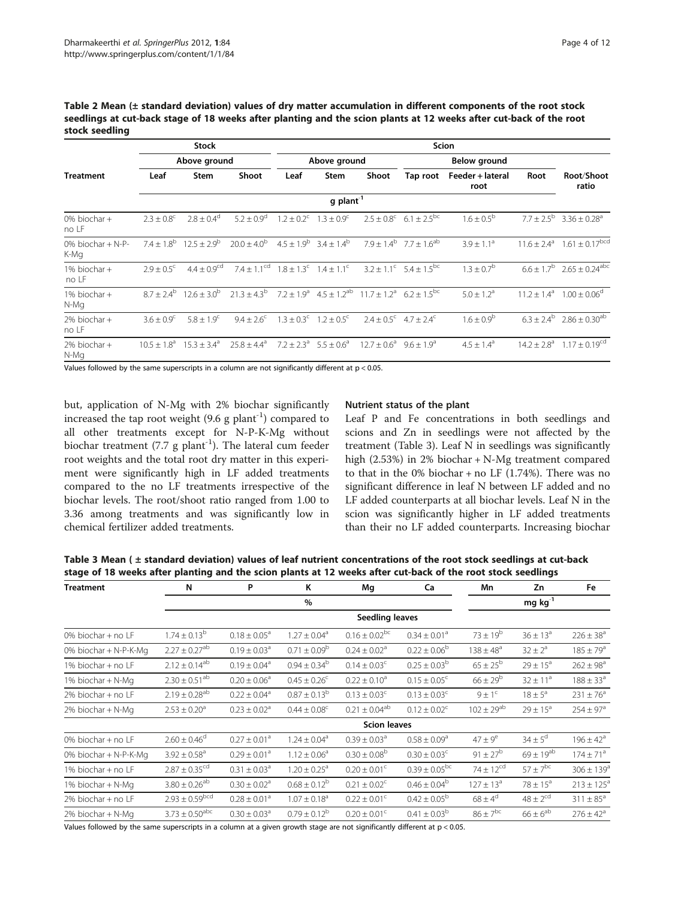<span id="page-3-0"></span>Table 2 Mean (± standard deviation) values of dry matter accumulation in different components of the root stock seedlings at cut-back stage of 18 weeks after planting and the scion plants at 12 weeks after cut-back of the root stock seedling

|                             |                        | <b>Stock</b>           |                           | <b>Scion</b>                                |                                                  |                                                                            |                                             |                          |                        |                                                      |
|-----------------------------|------------------------|------------------------|---------------------------|---------------------------------------------|--------------------------------------------------|----------------------------------------------------------------------------|---------------------------------------------|--------------------------|------------------------|------------------------------------------------------|
|                             |                        | Above ground           |                           |                                             | Above ground                                     |                                                                            |                                             | Below ground             |                        |                                                      |
| <b>Treatment</b>            | Leaf                   | <b>Stem</b>            | Shoot                     | Leaf                                        | <b>Stem</b>                                      | Shoot                                                                      | Tap root                                    | Feeder + lateral<br>root | Root                   | Root/Shoot<br>ratio                                  |
|                             | g plant <sup>-1</sup>  |                        |                           |                                             |                                                  |                                                                            |                                             |                          |                        |                                                      |
| $0\%$ biochar +<br>no LF    | $2.3 + 0.8^{\circ}$    | $2.8 \pm 0.4^{\circ}$  | $5.2 \pm 0.9^d$           |                                             | $1.2 + 0.2^c$ $1.3 + 0.9^c$                      |                                                                            | $2.5 \pm 0.8^{\circ}$ 6.1 $\pm 2.5^{\circ}$ | $1.6 + 0.5^{b}$          |                        | $7.7 \pm 2.5^{\rm b}$ 3.36 $\pm$ 0.28 <sup>a</sup>   |
| 0% biochar $+ N-P-$<br>K-Mg | $7.4 + 1.8^{b}$        | $12.5 + 2.9^b$         | $20.0 + 4.0^{b}$          |                                             | $4.5 \pm 1.9^{\rm b}$ 3.4 $\pm$ 1.4 <sup>b</sup> |                                                                            | $7.9 \pm 1.4^{\circ}$ 7.7 $\pm 1.6^{\circ}$ | $3.9 + 1.1a$             | $11.6 \pm 2.4^{\circ}$ | $1.61 \pm 0.17^{bcd}$                                |
| 1% biochar $+$<br>no LF     | $2.9 + 0.5^{\circ}$    | $4.4 + 0.9^{cd}$       | $7.4 \pm 1.1^{\text{cd}}$ | $1.8 \pm 1.3^{\circ}$ $1.4 \pm 1.1^{\circ}$ |                                                  |                                                                            | $3.2 + 1.1^{\circ}$ 5.4 + 1.5 <sup>bc</sup> | $1.3 \pm 0.7^{\rm b}$    |                        | $6.6 \pm 1.7^{\rm b}$ 2.65 $\pm$ 0.24 <sup>abc</sup> |
| $1\%$ biochar +<br>N-Mg     | $8.7 \pm 2.4^b$        | $12.6 + 3.0^{b}$       | $21.3 + 4.3^{b}$          | $7.2 + 1.9a$                                |                                                  | $4.5 \pm 1.2^{ab}$ 11.7 $\pm$ 1.2 <sup>a</sup> 6.2 $\pm$ 1.5 <sup>bc</sup> |                                             | $5.0 + 1.2a$             | $11.2 + 1.4a$          | $1.00 + 0.06^{\circ}$                                |
| $2\%$ biochar +<br>no LF    | $3.6 + 0.9^{\circ}$    | $5.8 + 1.9^{\circ}$    | $9.4 + 2.6^{\circ}$       |                                             | $1.3 \pm 0.3^{\circ}$ 1.2 $\pm 0.5^{\circ}$      |                                                                            | $2.4 \pm 0.5^{\circ}$ 4.7 $\pm 2.4^{\circ}$ | $1.6 \pm 0.9^{\rm b}$    |                        | $6.3 \pm 2.4^{\rm b}$ 2.86 $\pm$ 0.30 <sup>ab</sup>  |
| $2\%$ biochar +<br>N-Mg     | $10.5 \pm 1.8^{\circ}$ | $15.3 \pm 3.4^{\circ}$ | $25.8 \pm 4.4^{\circ}$    |                                             | $7.2 \pm 2.3^{\circ}$ 5.5 $\pm$ 0.6 <sup>a</sup> | $12.7 \pm 0.6^a$ $9.6 \pm 1.9^a$                                           |                                             | $4.5 + 1.4^{\circ}$      | $14.2 \pm 2.8^{\circ}$ | $1.17 \pm 0.19^{cd}$                                 |

Values followed by the same superscripts in a column are not significantly different at  $p < 0.05$ .

but, application of N-Mg with 2% biochar significantly increased the tap root weight  $(9.6 \text{ g plant}^{-1})$  compared to all other treatments except for N-P-K-Mg without biochar treatment (7.7 g plant<sup>-1</sup>). The lateral cum feeder root weights and the total root dry matter in this experiment were significantly high in LF added treatments compared to the no LF treatments irrespective of the biochar levels. The root/shoot ratio ranged from 1.00 to 3.36 among treatments and was significantly low in chemical fertilizer added treatments.

#### Nutrient status of the plant

Leaf P and Fe concentrations in both seedlings and scions and Zn in seedlings were not affected by the treatment (Table 3). Leaf N in seedlings was significantly high (2.53%) in 2% biochar + N-Mg treatment compared to that in the 0% biochar + no LF (1.74%). There was no significant difference in leaf N between LF added and no LF added counterparts at all biochar levels. Leaf N in the scion was significantly higher in LF added treatments than their no LF added counterparts. Increasing biochar

Table 3 Mean ( ± standard deviation) values of leaf nutrient concentrations of the root stock seedlings at cut-back stage of 18 weeks after planting and the scion plants at 12 weeks after cut-back of the root stock seedlings

| <b>Treatment</b>      | N                             | P                            | ĸ                            | Mg                           | Ca                           | Mn                       | Zn                 | Fe                        |
|-----------------------|-------------------------------|------------------------------|------------------------------|------------------------------|------------------------------|--------------------------|--------------------|---------------------------|
|                       |                               |                              | $\%$                         |                              |                              |                          | mg $kg^{-1}$       |                           |
|                       |                               |                              | <b>Seedling leaves</b>       |                              |                              |                          |                    |                           |
| 0% biochar + no LF    | $1.74 \pm 0.13^{b}$           | $0.18 \pm 0.05^a$            | $1.27 \pm 0.04^{\text{a}}$   | $0.16 \pm 0.02^{bc}$         | $0.34 \pm 0.01$ <sup>a</sup> | $73 \pm 19^{b}$          | $36 \pm 13^a$      | $226 \pm 38^{\rm a}$      |
| 0% biochar + N-P-K-Mg | $2.27 \pm 0.27^{ab}$          | $0.19 \pm 0.03$ <sup>a</sup> | $0.71 \pm 0.09^b$            | $0.24 \pm 0.02^{\circ}$      | $0.22 \pm 0.06^{\rm b}$      | $138 \pm 48^{\circ}$     | $32 \pm 2^a$       | $185 \pm 79^{\rm a}$      |
| 1% biochar + no LF    | $2.12 \pm 0.14^{ab}$          | $0.19 \pm 0.04^a$            | $0.94 \pm 0.34^b$            | $0.14 \pm 0.03$ <sup>c</sup> | $0.25 \pm 0.03^b$            | $65 \pm 25^{\rm b}$      | $29 \pm 15^a$      | $262 \pm 98^a$            |
| 1% biochar + N-Mg     | $2.30 \pm 0.51^{ab}$          | $0.20 \pm 0.06^a$            | $0.45 \pm 0.26$ <sup>c</sup> | $0.22 \pm 0.10$ <sup>a</sup> | $0.15 \pm 0.05^{\circ}$      | $66 \pm 29^{b}$          | $32 \pm 11^{a}$    | $188 \pm 33^{\circ}$      |
| 2% biochar + no LF    | $2.19 \pm 0.28$ <sup>ab</sup> | $0.22 \pm 0.04$ <sup>a</sup> | $0.87 \pm 0.13^b$            | $0.13 \pm 0.03$ <sup>c</sup> | $0.13 \pm 0.03$ <sup>c</sup> | $9 \pm 1$ <sup>c</sup>   | $18 \pm 5^a$       | $231 \pm 76^a$            |
| 2% biochar + N-Mg     | $2.53 \pm 0.20$ <sup>a</sup>  | $0.23 \pm 0.02$ <sup>a</sup> | $0.44 \pm 0.08^{\circ}$      | $0.21 \pm 0.04^{ab}$         | $0.12 \pm 0.02^c$            | $102 \pm 29^{ab}$        | $29 \pm 15^a$      | $254 \pm 97$ <sup>a</sup> |
|                       |                               |                              |                              | <b>Scion leaves</b>          |                              |                          |                    |                           |
| 0% biochar + no LF    | $2.60 \pm 0.46^d$             | $0.27 \pm 0.01$ <sup>a</sup> | $1.24 \pm 0.04^{\text{a}}$   | $0.39 \pm 0.03$ <sup>a</sup> | $0.58 \pm 0.09$ <sup>a</sup> | $47 \pm 9^e$             | $34 \pm 5^{\rm d}$ | $196 \pm 42^{\rm a}$      |
| 0% biochar + N-P-K-Mg | $3.92 \pm 0.58$ <sup>a</sup>  | $0.29 \pm 0.01$ <sup>a</sup> | $1.12 \pm 0.06^a$            | $0.30 \pm 0.08^b$            | $0.30 \pm 0.03^{\circ}$      | $91 \pm 27^{\rm b}$      | $69 \pm 19^{ab}$   | $174 \pm 71^a$            |
| 1% biochar + no LF    | $2.87 \pm 0.35$ <sup>cd</sup> | $0.31 \pm 0.03$ <sup>a</sup> | $1.20 \pm 0.25$ <sup>a</sup> | $0.20 \pm 0.01^{\circ}$      | $0.39 \pm 0.05^{\rm bc}$     | $74 \pm 12^{cd}$         | $57 \pm 7^{bc}$    | $306 \pm 139^{\circ}$     |
| 1% biochar + N-Mg     | $3.80 \pm 0.26^{ab}$          | $0.30 \pm 0.02$ <sup>a</sup> | $0.68 \pm 0.12^b$            | $0.21 \pm 0.02^c$            | $0.46 \pm 0.04^b$            | $127 \pm 13^a$           | $78 \pm 15^a$      | $213 \pm 125^a$           |
| 2% biochar + no LF    | $2.93 \pm 0.59^{bcd}$         | $0.28 \pm 0.01$ <sup>a</sup> | $1.07 \pm 0.18$ <sup>a</sup> | $0.22 \pm 0.01$ <sup>c</sup> | $0.42 \pm 0.05^{\rm b}$      | $68 \pm 4^d$             | $48 \pm 2^{cd}$    | $311 \pm 85^{\circ}$      |
| 2% biochar + N-Mg     | $3.73 \pm 0.50^{\rm abc}$     | $0.30 \pm 0.03$ <sup>a</sup> | $0.79 \pm 0.12^b$            | $0.20 \pm 0.01^{\circ}$      | $0.41 \pm 0.03^b$            | $86 \pm 7$ <sup>bc</sup> | $66 \pm 6^{ab}$    | $276 \pm 42^a$            |

Values followed by the same superscripts in a column at a given growth stage are not significantly different at  $p < 0.05$ .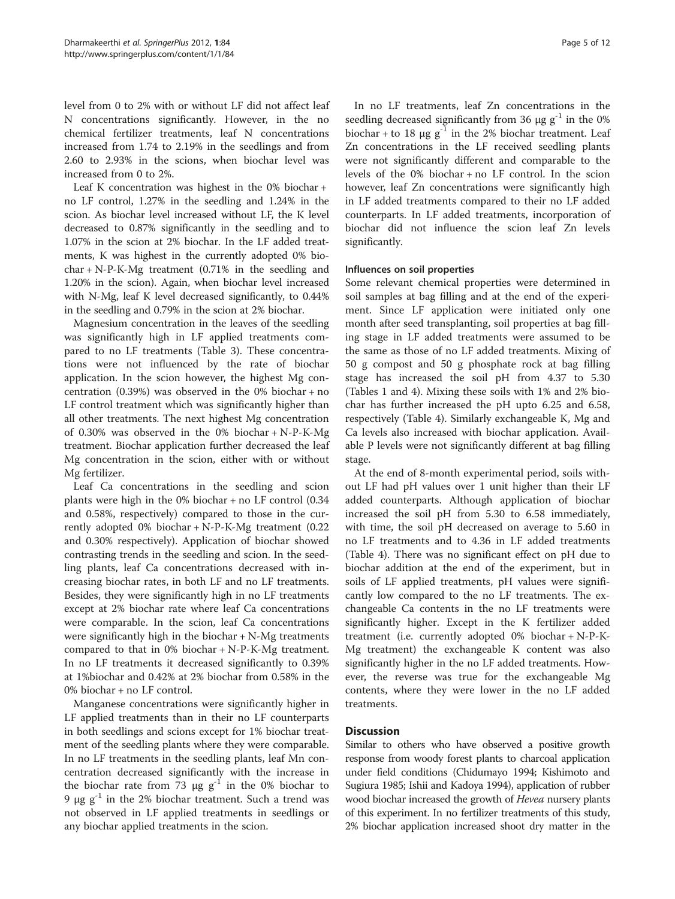level from 0 to 2% with or without LF did not affect leaf N concentrations significantly. However, in the no chemical fertilizer treatments, leaf N concentrations increased from 1.74 to 2.19% in the seedlings and from 2.60 to 2.93% in the scions, when biochar level was increased from 0 to 2%.

Leaf K concentration was highest in the 0% biochar + no LF control, 1.27% in the seedling and 1.24% in the scion. As biochar level increased without LF, the K level decreased to 0.87% significantly in the seedling and to 1.07% in the scion at 2% biochar. In the LF added treatments, K was highest in the currently adopted 0% bio $char + N-P-K-Mg$  treatment  $(0.71\%$  in the seedling and 1.20% in the scion). Again, when biochar level increased with N-Mg, leaf K level decreased significantly, to 0.44% in the seedling and 0.79% in the scion at 2% biochar.

Magnesium concentration in the leaves of the seedling was significantly high in LF applied treatments compared to no LF treatments (Table [3](#page-3-0)). These concentrations were not influenced by the rate of biochar application. In the scion however, the highest Mg concentration  $(0.39\%)$  was observed in the 0% biochar + no LF control treatment which was significantly higher than all other treatments. The next highest Mg concentration of 0.30% was observed in the 0% biochar + N-P-K-Mg treatment. Biochar application further decreased the leaf Mg concentration in the scion, either with or without Mg fertilizer.

Leaf Ca concentrations in the seedling and scion plants were high in the 0% biochar + no LF control (0.34 and 0.58%, respectively) compared to those in the currently adopted 0% biochar + N-P-K-Mg treatment (0.22 and 0.30% respectively). Application of biochar showed contrasting trends in the seedling and scion. In the seedling plants, leaf Ca concentrations decreased with increasing biochar rates, in both LF and no LF treatments. Besides, they were significantly high in no LF treatments except at 2% biochar rate where leaf Ca concentrations were comparable. In the scion, leaf Ca concentrations were significantly high in the biochar  $+ N-Mg$  treatments compared to that in 0% biochar + N-P-K-Mg treatment. In no LF treatments it decreased significantly to 0.39% at 1%biochar and 0.42% at 2% biochar from 0.58% in the 0% biochar + no LF control.

Manganese concentrations were significantly higher in LF applied treatments than in their no LF counterparts in both seedlings and scions except for 1% biochar treatment of the seedling plants where they were comparable. In no LF treatments in the seedling plants, leaf Mn concentration decreased significantly with the increase in the biochar rate from 73 μg  $g^{-1}$  in the 0% biochar to 9  $\mu$ g g<sup>-1</sup> in the 2% biochar treatment. Such a trend was not observed in LF applied treatments in seedlings or any biochar applied treatments in the scion.

In no LF treatments, leaf Zn concentrations in the seedling decreased significantly from 36  $\mu$ g g<sup>-1</sup> in the 0% biochar + to 18  $\mu$ g g<sup>-1</sup> in the 2% biochar treatment. Leaf Zn concentrations in the LF received seedling plants were not significantly different and comparable to the levels of the 0% biochar + no LF control. In the scion however, leaf Zn concentrations were significantly high in LF added treatments compared to their no LF added counterparts. In LF added treatments, incorporation of biochar did not influence the scion leaf Zn levels significantly.

## Influences on soil properties

Some relevant chemical properties were determined in soil samples at bag filling and at the end of the experiment. Since LF application were initiated only one month after seed transplanting, soil properties at bag filling stage in LF added treatments were assumed to be the same as those of no LF added treatments. Mixing of 50 g compost and 50 g phosphate rock at bag filling stage has increased the soil pH from 4.37 to 5.30 (Tables [1](#page-2-0) and [4\)](#page-5-0). Mixing these soils with 1% and 2% biochar has further increased the pH upto 6.25 and 6.58, respectively (Table [4](#page-5-0)). Similarly exchangeable K, Mg and Ca levels also increased with biochar application. Available P levels were not significantly different at bag filling stage.

At the end of 8-month experimental period, soils without LF had pH values over 1 unit higher than their LF added counterparts. Although application of biochar increased the soil pH from 5.30 to 6.58 immediately, with time, the soil pH decreased on average to 5.60 in no LF treatments and to 4.36 in LF added treatments (Table [4\)](#page-5-0). There was no significant effect on pH due to biochar addition at the end of the experiment, but in soils of LF applied treatments, pH values were significantly low compared to the no LF treatments. The exchangeable Ca contents in the no LF treatments were significantly higher. Except in the K fertilizer added treatment (i.e. currently adopted 0% biochar + N-P-K-Mg treatment) the exchangeable K content was also significantly higher in the no LF added treatments. However, the reverse was true for the exchangeable Mg contents, where they were lower in the no LF added treatments.

## **Discussion**

Similar to others who have observed a positive growth response from woody forest plants to charcoal application under field conditions (Chidumayo [1994;](#page-10-0) Kishimoto and Sugiura [1985](#page-10-0); Ishii and Kadoya [1994](#page-10-0)), application of rubber wood biochar increased the growth of *Hevea* nursery plants of this experiment. In no fertilizer treatments of this study, 2% biochar application increased shoot dry matter in the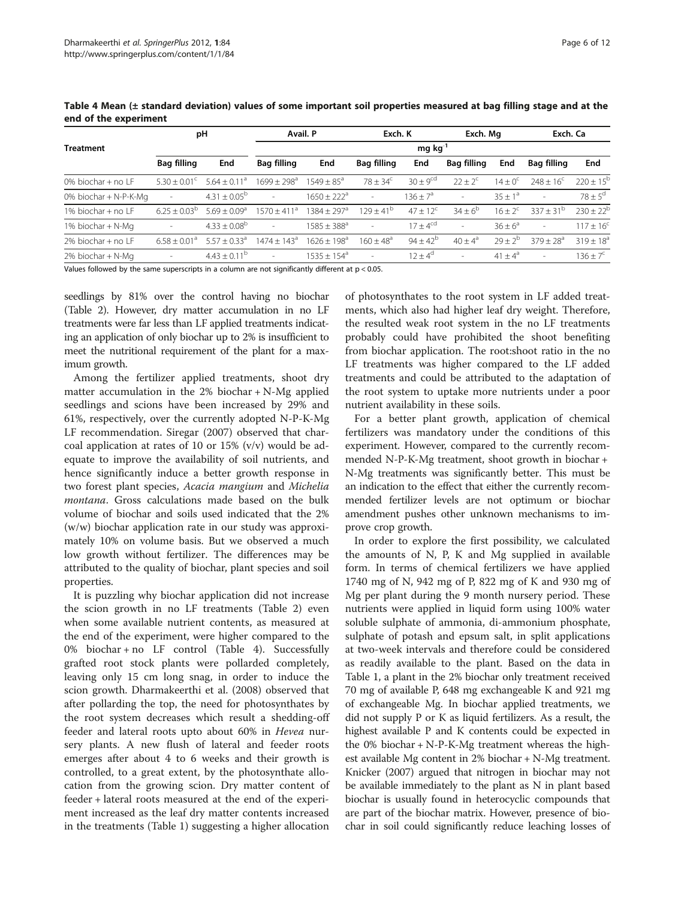|                       | pH                      |                         | Avail. P                  |                             | Exch. K                  |                     | Exch. Mg                 |                  | Exch. Ca                 |                      |
|-----------------------|-------------------------|-------------------------|---------------------------|-----------------------------|--------------------------|---------------------|--------------------------|------------------|--------------------------|----------------------|
| <b>Treatment</b>      |                         |                         |                           | $mg \, kg^{-1}$             |                          |                     |                          |                  |                          |                      |
|                       | <b>Bag filling</b>      | End                     | <b>Bag filling</b>        | End                         | <b>Bag filling</b>       | End                 | Bag filling              | End              | Bag filling              | End                  |
| 0% biochar + no LF    | $5.30 + 0.01^{\circ}$   | $5.64 + 0.11a$          | 1699 + 298ª               | $1549 + 85^{\circ}$         | $78 + 34^c$              | $30 + 9^{cd}$       | $22 + 2^c$               | $14 + 0^{\circ}$ | $748 + 16^c$             | $220 + 15^{\rm b}$   |
| 0% biochar + N-P-K-Mg | ٠.                      | $4.31 \pm 0.05^{\circ}$ | ٠                         | $1650 \pm 222$ <sup>a</sup> | $\overline{a}$           | $136 \pm 7^{\circ}$ | $\overline{\phantom{a}}$ | $35 + 1^a$       | $\overline{\phantom{a}}$ | $78 + 5^d$           |
| 1% biochar + no LF    | $6.25 \pm 0.03^{\rm b}$ | $5.69 + 0.09a$          | $1570 + 411^a$            | $384 + 297$ <sup>a</sup>    | $129 + 41^{b}$           | $47 + 12^{\circ}$   | $34 + 6^b$               | $16 \pm 2^{c}$   | $337 + 31^{b}$           | $230 + 22^{b}$       |
| 1% biochar + N-Mg     | ٠.                      | $4.33 \pm 0.08^{b}$     | ٠                         | $1585 \pm 388^{\rm a}$      | $\overline{a}$           | $17 + 4^{cd}$       | $\overline{\phantom{a}}$ | $36 \pm 6^a$     | $\overline{\phantom{a}}$ | $117 \pm 16^{\circ}$ |
| $2\%$ biochar + no LF | $6.58 + 0.01a$          | $5.57 + 0.33a$          | $1474 + 143$ <sup>a</sup> | $1626 + 198$ <sup>a</sup>   | $160 + 48$ <sup>a</sup>  | $94 \pm 42^b$       | $40 \pm 4^a$             | $29 \pm 2^{b}$   | $379 + 28$ <sup>a</sup>  | $319 + 18^{a}$       |
| 2% biochar + N-Mg     | ٠.                      | $4.43 + 0.11^b$         | $\sim$                    | $1535 + 154$ <sup>a</sup>   | $\overline{\phantom{a}}$ | $12 + 4^d$          | $\overline{\phantom{a}}$ | $41 + 4^a$       | $\overline{\phantom{a}}$ | $136 + 7^{\circ}$    |

<span id="page-5-0"></span>Table 4 Mean (± standard deviation) values of some important soil properties measured at bag filling stage and at the end of the experiment

Values followed by the same superscripts in a column are not significantly different at p < 0.05.

seedlings by 81% over the control having no biochar (Table [2](#page-3-0)). However, dry matter accumulation in no LF treatments were far less than LF applied treatments indicating an application of only biochar up to 2% is insufficient to meet the nutritional requirement of the plant for a maximum growth.

Among the fertilizer applied treatments, shoot dry matter accumulation in the 2% biochar + N-Mg applied seedlings and scions have been increased by 29% and 61%, respectively, over the currently adopted N-P-K-Mg LF recommendation. Siregar [\(2007](#page-11-0)) observed that charcoal application at rates of 10 or 15% (v/v) would be adequate to improve the availability of soil nutrients, and hence significantly induce a better growth response in two forest plant species, Acacia mangium and Michelia montana. Gross calculations made based on the bulk volume of biochar and soils used indicated that the 2% (w/w) biochar application rate in our study was approximately 10% on volume basis. But we observed a much low growth without fertilizer. The differences may be attributed to the quality of biochar, plant species and soil properties.

It is puzzling why biochar application did not increase the scion growth in no LF treatments (Table [2\)](#page-3-0) even when some available nutrient contents, as measured at the end of the experiment, were higher compared to the 0% biochar + no LF control (Table 4). Successfully grafted root stock plants were pollarded completely, leaving only 15 cm long snag, in order to induce the scion growth. Dharmakeerthi et al. [\(2008\)](#page-10-0) observed that after pollarding the top, the need for photosynthates by the root system decreases which result a shedding-off feeder and lateral roots upto about 60% in Hevea nursery plants. A new flush of lateral and feeder roots emerges after about 4 to 6 weeks and their growth is controlled, to a great extent, by the photosynthate allocation from the growing scion. Dry matter content of feeder + lateral roots measured at the end of the experiment increased as the leaf dry matter contents increased in the treatments (Table [1](#page-2-0)) suggesting a higher allocation

of photosynthates to the root system in LF added treatments, which also had higher leaf dry weight. Therefore, the resulted weak root system in the no LF treatments probably could have prohibited the shoot benefiting from biochar application. The root:shoot ratio in the no LF treatments was higher compared to the LF added treatments and could be attributed to the adaptation of the root system to uptake more nutrients under a poor nutrient availability in these soils.

For a better plant growth, application of chemical fertilizers was mandatory under the conditions of this experiment. However, compared to the currently recommended N-P-K-Mg treatment, shoot growth in biochar + N-Mg treatments was significantly better. This must be an indication to the effect that either the currently recommended fertilizer levels are not optimum or biochar amendment pushes other unknown mechanisms to improve crop growth.

In order to explore the first possibility, we calculated the amounts of N, P, K and Mg supplied in available form. In terms of chemical fertilizers we have applied 1740 mg of N, 942 mg of P, 822 mg of K and 930 mg of Mg per plant during the 9 month nursery period. These nutrients were applied in liquid form using 100% water soluble sulphate of ammonia, di-ammonium phosphate, sulphate of potash and epsum salt, in split applications at two-week intervals and therefore could be considered as readily available to the plant. Based on the data in Table [1](#page-2-0), a plant in the 2% biochar only treatment received 70 mg of available P, 648 mg exchangeable K and 921 mg of exchangeable Mg. In biochar applied treatments, we did not supply P or K as liquid fertilizers. As a result, the highest available P and K contents could be expected in the 0% biochar + N-P-K-Mg treatment whereas the highest available Mg content in 2% biochar + N-Mg treatment. Knicker [\(2007](#page-10-0)) argued that nitrogen in biochar may not be available immediately to the plant as N in plant based biochar is usually found in heterocyclic compounds that are part of the biochar matrix. However, presence of biochar in soil could significantly reduce leaching losses of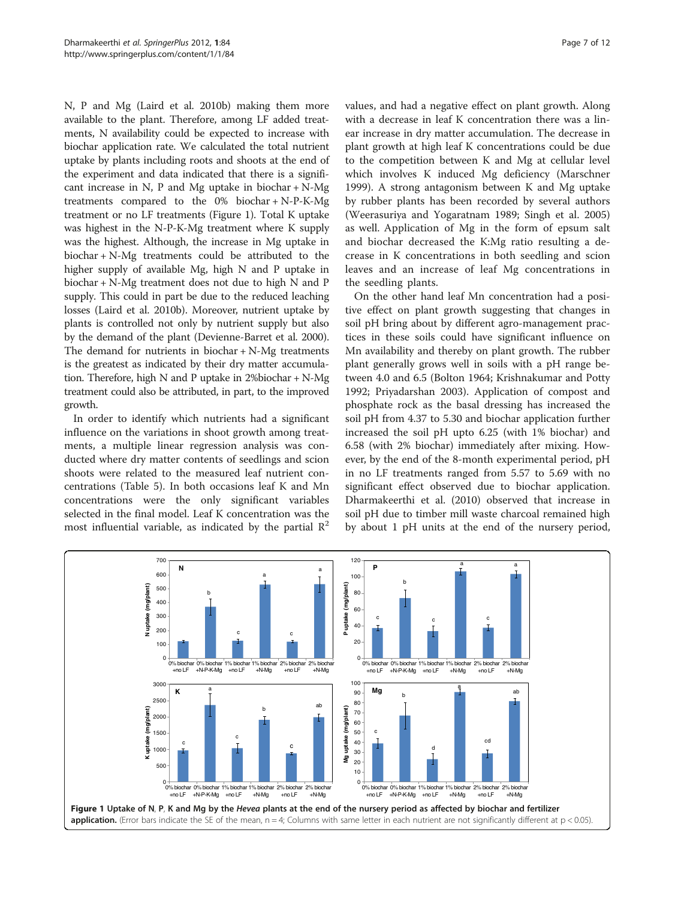<span id="page-6-0"></span>N, P and Mg (Laird et al. [2010b\)](#page-10-0) making them more available to the plant. Therefore, among LF added treatments, N availability could be expected to increase with biochar application rate. We calculated the total nutrient uptake by plants including roots and shoots at the end of the experiment and data indicated that there is a significant increase in N, P and Mg uptake in biochar  $+ N-Mg$ treatments compared to the 0% biochar + N-P-K-Mg treatment or no LF treatments (Figure 1). Total K uptake was highest in the N-P-K-Mg treatment where K supply was the highest. Although, the increase in Mg uptake in biochar + N-Mg treatments could be attributed to the higher supply of available Mg, high N and P uptake in biochar + N-Mg treatment does not due to high N and P supply. This could in part be due to the reduced leaching losses (Laird et al. [2010b](#page-10-0)). Moreover, nutrient uptake by plants is controlled not only by nutrient supply but also by the demand of the plant (Devienne-Barret et al. [2000](#page-10-0)). The demand for nutrients in biochar + N-Mg treatments is the greatest as indicated by their dry matter accumulation. Therefore, high N and P uptake in 2%biochar + N-Mg treatment could also be attributed, in part, to the improved growth.

In order to identify which nutrients had a significant influence on the variations in shoot growth among treatments, a multiple linear regression analysis was conducted where dry matter contents of seedlings and scion shoots were related to the measured leaf nutrient concentrations (Table [5](#page-7-0)). In both occasions leaf K and Mn concentrations were the only significant variables selected in the final model. Leaf K concentration was the most influential variable, as indicated by the partial  $\mathbb{R}^2$  values, and had a negative effect on plant growth. Along with a decrease in leaf K concentration there was a linear increase in dry matter accumulation. The decrease in plant growth at high leaf K concentrations could be due to the competition between K and Mg at cellular level which involves K induced Mg deficiency (Marschner [1999](#page-11-0)). A strong antagonism between K and Mg uptake by rubber plants has been recorded by several authors (Weerasuriya and Yogaratnam [1989](#page-11-0); Singh et al. [2005](#page-11-0)) as well. Application of Mg in the form of epsum salt and biochar decreased the K:Mg ratio resulting a decrease in K concentrations in both seedling and scion leaves and an increase of leaf Mg concentrations in the seedling plants.

On the other hand leaf Mn concentration had a positive effect on plant growth suggesting that changes in soil pH bring about by different agro-management practices in these soils could have significant influence on Mn availability and thereby on plant growth. The rubber plant generally grows well in soils with a pH range between 4.0 and 6.5 (Bolton [1964;](#page-10-0) Krishnakumar and Potty [1992](#page-10-0); Priyadarshan [2003\)](#page-11-0). Application of compost and phosphate rock as the basal dressing has increased the soil pH from 4.37 to 5.30 and biochar application further increased the soil pH upto 6.25 (with 1% biochar) and 6.58 (with 2% biochar) immediately after mixing. However, by the end of the 8-month experimental period, pH in no LF treatments ranged from 5.57 to 5.69 with no significant effect observed due to biochar application. Dharmakeerthi et al. ([2010](#page-10-0)) observed that increase in soil pH due to timber mill waste charcoal remained high by about 1 pH units at the end of the nursery period,

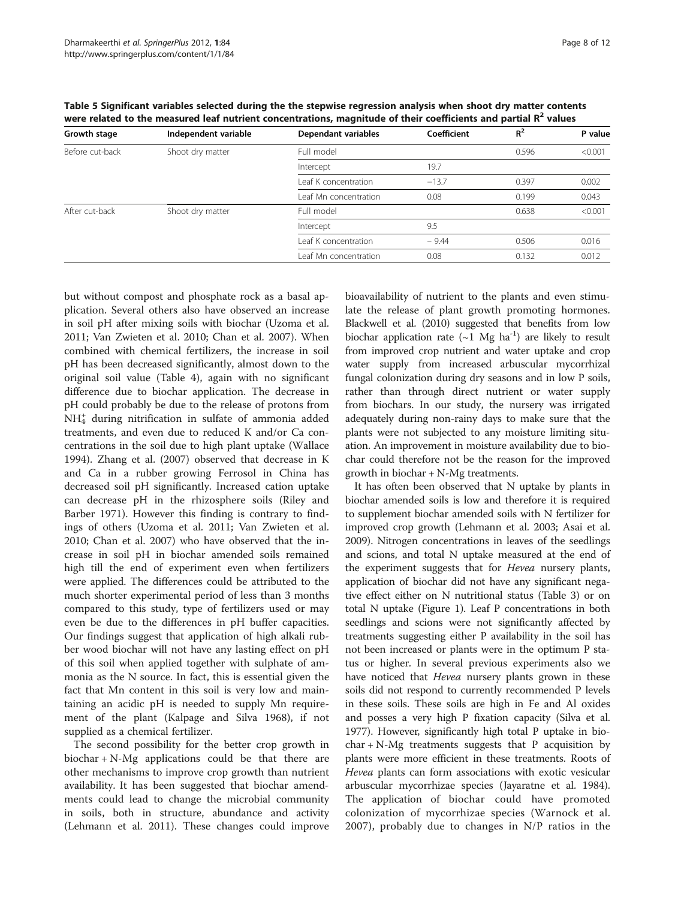| Growth stage    | Independent variable | Dependant variables   | Coefficient | $R^2$ | P value |
|-----------------|----------------------|-----------------------|-------------|-------|---------|
| Before cut-back | Shoot dry matter     | Full model            |             | 0.596 | < 0.001 |
|                 |                      | Intercept             | 19.7        |       |         |
|                 |                      | Leaf K concentration  | $-13.7$     | 0.397 | 0.002   |
|                 |                      | Leaf Mn concentration | 0.08        | 0.199 | 0.043   |
| After cut-back  | Shoot dry matter     | Full model            |             | 0.638 | < 0.001 |
|                 |                      | Intercept             | 9.5         |       |         |
|                 |                      | Leaf K concentration  | $-9.44$     | 0.506 | 0.016   |
|                 |                      | Leaf Mn concentration | 0.08        | 0.132 | 0.012   |

<span id="page-7-0"></span>Table 5 Significant variables selected during the the stepwise regression analysis when shoot dry matter contents were related to the measured leaf nutrient concentrations, magnitude of their coefficients and partial  $R^2$  values

but without compost and phosphate rock as a basal application. Several others also have observed an increase in soil pH after mixing soils with biochar (Uzoma et al. [2011](#page-11-0); Van Zwieten et al. [2010;](#page-11-0) Chan et al. [2007\)](#page-10-0). When combined with chemical fertilizers, the increase in soil pH has been decreased significantly, almost down to the original soil value (Table [4](#page-5-0)), again with no significant difference due to biochar application. The decrease in pH could probably be due to the release of protons from NH4 <sup>+</sup> during nitrification in sulfate of ammonia added treatments, and even due to reduced K and/or Ca concentrations in the soil due to high plant uptake (Wallace [1994](#page-11-0)). Zhang et al. ([2007](#page-11-0)) observed that decrease in K and Ca in a rubber growing Ferrosol in China has decreased soil pH significantly. Increased cation uptake can decrease pH in the rhizosphere soils (Riley and Barber [1971\)](#page-11-0). However this finding is contrary to findings of others (Uzoma et al. [2011;](#page-11-0) Van Zwieten et al. [2010](#page-11-0); Chan et al. [2007\)](#page-10-0) who have observed that the increase in soil pH in biochar amended soils remained high till the end of experiment even when fertilizers were applied. The differences could be attributed to the much shorter experimental period of less than 3 months compared to this study, type of fertilizers used or may even be due to the differences in pH buffer capacities. Our findings suggest that application of high alkali rubber wood biochar will not have any lasting effect on pH of this soil when applied together with sulphate of ammonia as the N source. In fact, this is essential given the fact that Mn content in this soil is very low and maintaining an acidic pH is needed to supply Mn requirement of the plant (Kalpage and Silva [1968](#page-10-0)), if not supplied as a chemical fertilizer.

The second possibility for the better crop growth in biochar + N-Mg applications could be that there are other mechanisms to improve crop growth than nutrient availability. It has been suggested that biochar amendments could lead to change the microbial community in soils, both in structure, abundance and activity (Lehmann et al. [2011\)](#page-11-0). These changes could improve

bioavailability of nutrient to the plants and even stimulate the release of plant growth promoting hormones. Blackwell et al. [\(2010](#page-10-0)) suggested that benefits from low biochar application rate  $({\sim}1 \text{ Mg ha}^{-1})$  are likely to result from improved crop nutrient and water uptake and crop water supply from increased arbuscular mycorrhizal fungal colonization during dry seasons and in low P soils, rather than through direct nutrient or water supply from biochars. In our study, the nursery was irrigated adequately during non-rainy days to make sure that the plants were not subjected to any moisture limiting situation. An improvement in moisture availability due to biochar could therefore not be the reason for the improved growth in biochar + N-Mg treatments.

It has often been observed that N uptake by plants in biochar amended soils is low and therefore it is required to supplement biochar amended soils with N fertilizer for improved crop growth (Lehmann et al. [2003](#page-10-0); Asai et al. [2009](#page-10-0)). Nitrogen concentrations in leaves of the seedlings and scions, and total N uptake measured at the end of the experiment suggests that for *Hevea* nursery plants, application of biochar did not have any significant negative effect either on N nutritional status (Table [3](#page-3-0)) or on total N uptake (Figure [1](#page-6-0)). Leaf P concentrations in both seedlings and scions were not significantly affected by treatments suggesting either P availability in the soil has not been increased or plants were in the optimum P status or higher. In several previous experiments also we have noticed that *Hevea* nursery plants grown in these soils did not respond to currently recommended P levels in these soils. These soils are high in Fe and Al oxides and posses a very high P fixation capacity (Silva et al. [1977](#page-11-0)). However, significantly high total P uptake in bio $char + N-Mg$  treatments suggests that P acquisition by plants were more efficient in these treatments. Roots of Hevea plants can form associations with exotic vesicular arbuscular mycorrhizae species (Jayaratne et al. [1984](#page-10-0)). The application of biochar could have promoted colonization of mycorrhizae species (Warnock et al. [2007](#page-11-0)), probably due to changes in N/P ratios in the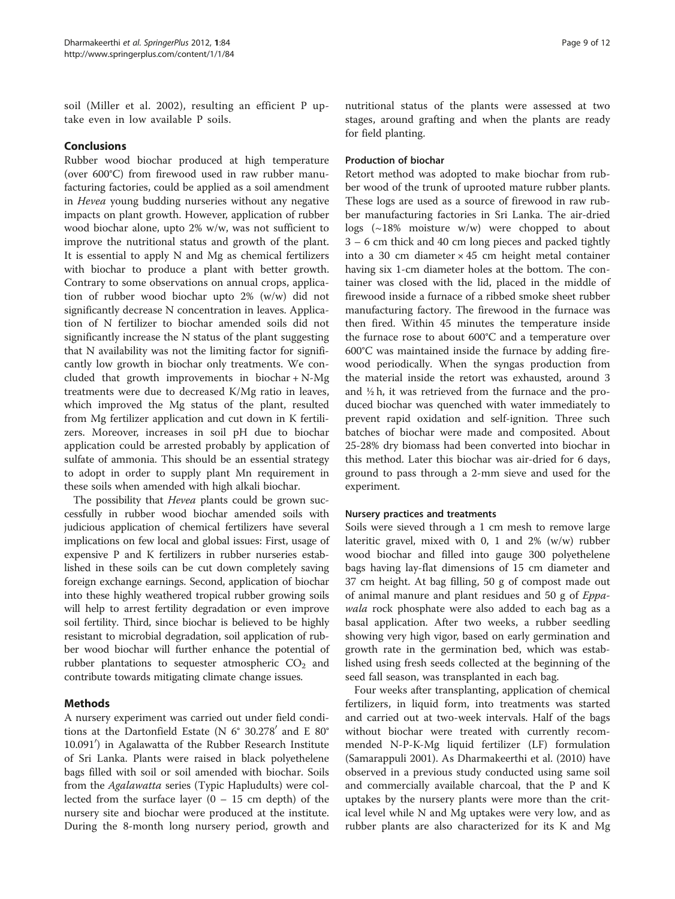soil (Miller et al. [2002](#page-11-0)), resulting an efficient P uptake even in low available P soils.

## Conclusions

Rubber wood biochar produced at high temperature (over 600°C) from firewood used in raw rubber manufacturing factories, could be applied as a soil amendment in Hevea young budding nurseries without any negative impacts on plant growth. However, application of rubber wood biochar alone, upto 2% w/w, was not sufficient to improve the nutritional status and growth of the plant. It is essential to apply N and Mg as chemical fertilizers with biochar to produce a plant with better growth. Contrary to some observations on annual crops, application of rubber wood biochar upto 2% (w/w) did not significantly decrease N concentration in leaves. Application of N fertilizer to biochar amended soils did not significantly increase the N status of the plant suggesting that N availability was not the limiting factor for significantly low growth in biochar only treatments. We concluded that growth improvements in biochar + N-Mg treatments were due to decreased K/Mg ratio in leaves, which improved the Mg status of the plant, resulted from Mg fertilizer application and cut down in K fertilizers. Moreover, increases in soil pH due to biochar application could be arrested probably by application of sulfate of ammonia. This should be an essential strategy to adopt in order to supply plant Mn requirement in these soils when amended with high alkali biochar.

The possibility that *Hevea* plants could be grown successfully in rubber wood biochar amended soils with judicious application of chemical fertilizers have several implications on few local and global issues: First, usage of expensive P and K fertilizers in rubber nurseries established in these soils can be cut down completely saving foreign exchange earnings. Second, application of biochar into these highly weathered tropical rubber growing soils will help to arrest fertility degradation or even improve soil fertility. Third, since biochar is believed to be highly resistant to microbial degradation, soil application of rubber wood biochar will further enhance the potential of rubber plantations to sequester atmospheric  $CO<sub>2</sub>$  and contribute towards mitigating climate change issues.

## Methods

A nursery experiment was carried out under field conditions at the Dartonfield Estate (N  $6^{\circ}$  30.278 $^{\prime}$  and E 80 $^{\circ}$ 10.091') in Agalawatta of the Rubber Research Institute of Sri Lanka. Plants were raised in black polyethelene bags filled with soil or soil amended with biochar. Soils from the Agalawatta series (Typic Hapludults) were collected from the surface layer  $(0 - 15$  cm depth) of the nursery site and biochar were produced at the institute. During the 8-month long nursery period, growth and

nutritional status of the plants were assessed at two stages, around grafting and when the plants are ready for field planting.

## Production of biochar

Retort method was adopted to make biochar from rubber wood of the trunk of uprooted mature rubber plants. These logs are used as a source of firewood in raw rubber manufacturing factories in Sri Lanka. The air-dried logs (~18% moisture w/w) were chopped to about 3 – 6 cm thick and 40 cm long pieces and packed tightly into a 30 cm diameter  $\times$  45 cm height metal container having six 1-cm diameter holes at the bottom. The container was closed with the lid, placed in the middle of firewood inside a furnace of a ribbed smoke sheet rubber manufacturing factory. The firewood in the furnace was then fired. Within 45 minutes the temperature inside the furnace rose to about 600°C and a temperature over 600°C was maintained inside the furnace by adding firewood periodically. When the syngas production from the material inside the retort was exhausted, around 3 and  $\frac{1}{2}$  h, it was retrieved from the furnace and the produced biochar was quenched with water immediately to prevent rapid oxidation and self-ignition. Three such batches of biochar were made and composited. About 25-28% dry biomass had been converted into biochar in this method. Later this biochar was air-dried for 6 days, ground to pass through a 2-mm sieve and used for the experiment.

## Nursery practices and treatments

Soils were sieved through a 1 cm mesh to remove large lateritic gravel, mixed with 0, 1 and 2% (w/w) rubber wood biochar and filled into gauge 300 polyethelene bags having lay-flat dimensions of 15 cm diameter and 37 cm height. At bag filling, 50 g of compost made out of animal manure and plant residues and 50 g of Eppawala rock phosphate were also added to each bag as a basal application. After two weeks, a rubber seedling showing very high vigor, based on early germination and growth rate in the germination bed, which was established using fresh seeds collected at the beginning of the seed fall season, was transplanted in each bag.

Four weeks after transplanting, application of chemical fertilizers, in liquid form, into treatments was started and carried out at two-week intervals. Half of the bags without biochar were treated with currently recommended N-P-K-Mg liquid fertilizer (LF) formulation (Samarappuli [2001](#page-11-0)). As Dharmakeerthi et al. [\(2010\)](#page-10-0) have observed in a previous study conducted using same soil and commercially available charcoal, that the P and K uptakes by the nursery plants were more than the critical level while N and Mg uptakes were very low, and as rubber plants are also characterized for its K and Mg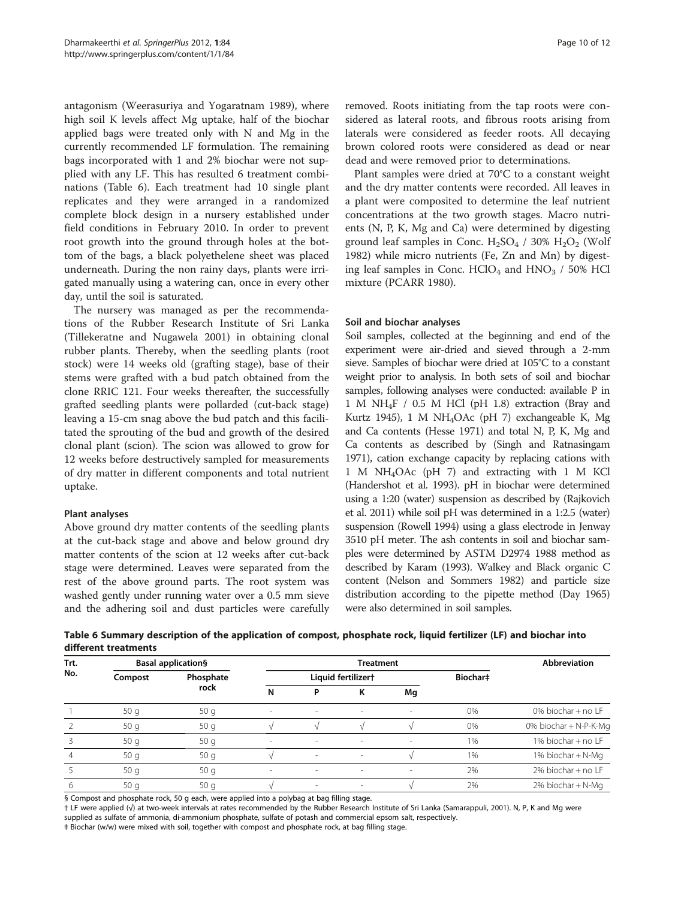antagonism (Weerasuriya and Yogaratnam [1989\)](#page-11-0), where high soil K levels affect Mg uptake, half of the biochar applied bags were treated only with N and Mg in the currently recommended LF formulation. The remaining bags incorporated with 1 and 2% biochar were not supplied with any LF. This has resulted 6 treatment combinations (Table 6). Each treatment had 10 single plant replicates and they were arranged in a randomized complete block design in a nursery established under field conditions in February 2010. In order to prevent root growth into the ground through holes at the bottom of the bags, a black polyethelene sheet was placed underneath. During the non rainy days, plants were irrigated manually using a watering can, once in every other day, until the soil is saturated.

The nursery was managed as per the recommendations of the Rubber Research Institute of Sri Lanka (Tillekeratne and Nugawela [2001](#page-11-0)) in obtaining clonal rubber plants. Thereby, when the seedling plants (root stock) were 14 weeks old (grafting stage), base of their stems were grafted with a bud patch obtained from the clone RRIC 121. Four weeks thereafter, the successfully grafted seedling plants were pollarded (cut-back stage) leaving a 15-cm snag above the bud patch and this facilitated the sprouting of the bud and growth of the desired clonal plant (scion). The scion was allowed to grow for 12 weeks before destructively sampled for measurements of dry matter in different components and total nutrient uptake.

## Plant analyses

Above ground dry matter contents of the seedling plants at the cut-back stage and above and below ground dry matter contents of the scion at 12 weeks after cut-back stage were determined. Leaves were separated from the rest of the above ground parts. The root system was washed gently under running water over a 0.5 mm sieve and the adhering soil and dust particles were carefully

removed. Roots initiating from the tap roots were considered as lateral roots, and fibrous roots arising from laterals were considered as feeder roots. All decaying brown colored roots were considered as dead or near dead and were removed prior to determinations.

Plant samples were dried at 70°C to a constant weight and the dry matter contents were recorded. All leaves in a plant were composited to determine the leaf nutrient concentrations at the two growth stages. Macro nutrients (N, P, K, Mg and Ca) were determined by digesting ground leaf samples in Conc.  $H_2SO_4$  / 30%  $H_2O_2$  (Wolf [1982](#page-11-0)) while micro nutrients (Fe, Zn and Mn) by digesting leaf samples in Conc.  $HClO<sub>4</sub>$  and  $HNO<sub>3</sub>$  / 50% HCl mixture (PCARR [1980](#page-11-0)).

## Soil and biochar analyses

Soil samples, collected at the beginning and end of the experiment were air-dried and sieved through a 2-mm sieve. Samples of biochar were dried at 105°C to a constant weight prior to analysis. In both sets of soil and biochar samples, following analyses were conducted: available P in 1 M NH4F / 0.5 M HCl (pH 1.8) extraction (Bray and Kurtz [1945](#page-10-0)), 1 M NH4OAc (pH 7) exchangeable K, Mg and Ca contents (Hesse [1971](#page-10-0)) and total N, P, K, Mg and Ca contents as described by (Singh and Ratnasingam [1971\)](#page-11-0), cation exchange capacity by replacing cations with 1 M NH4OAc (pH 7) and extracting with 1 M KCl (Handershot et al. [1993\)](#page-10-0). pH in biochar were determined using a 1:20 (water) suspension as described by (Rajkovich et al. [2011](#page-11-0)) while soil pH was determined in a 1:2.5 (water) suspension (Rowell [1994](#page-11-0)) using a glass electrode in Jenway 3510 pH meter. The ash contents in soil and biochar samples were determined by ASTM D2974 1988 method as described by Karam [\(1993\)](#page-10-0). Walkey and Black organic C content (Nelson and Sommers [1982\)](#page-11-0) and particle size distribution according to the pipette method (Day [1965](#page-10-0)) were also determined in soil samples.

Table 6 Summary description of the application of compost, phosphate rock, liquid fertilizer (LF) and biochar into different treatments

| Trt.<br>No. | <b>Basal application§</b> |                   |                          |                          |                          | <b>Abbreviation</b>      |          |                       |
|-------------|---------------------------|-------------------|--------------------------|--------------------------|--------------------------|--------------------------|----------|-----------------------|
|             | Compost                   | Phosphate<br>rock | Liquid fertilizert       |                          |                          |                          | Biochar‡ |                       |
|             |                           |                   | N                        | P                        | к                        | Mg                       |          |                       |
|             | 50q                       | 50q               | $\overline{\phantom{a}}$ | $\overline{\phantom{a}}$ | $\sim$                   | $\overline{\phantom{a}}$ | 0%       | 0% biochar $+$ no LF  |
|             | 50q                       | 50q               |                          |                          |                          |                          | 0%       | 0% biochar + N-P-K-Mg |
|             | 50q                       | 50q               | $\sim$                   |                          | $\overline{\phantom{a}}$ | $\overline{\phantom{a}}$ | 1%       | 1% biochar + no LF    |
|             | 50q                       | 50q               |                          | $\overline{\phantom{a}}$ | $\overline{\phantom{a}}$ |                          | 1%       | 1% biochar + N-Mg     |
|             | 50q                       | 50q               | $\overline{\phantom{a}}$ | $\overline{\phantom{a}}$ | $\sim$                   | $\overline{\phantom{a}}$ | 2%       | 2% biochar + no LF    |
| 6           | 50q                       | 50 g              |                          | $\overline{\phantom{a}}$ | $\overline{\phantom{a}}$ |                          | 2%       | $2\%$ biochar + N-Mg  |

§ Compost and phosphate rock, 50 g each, were applied into a polybag at bag filling stage.

† LF were applied (√) at two-week intervals at rates recommended by the Rubber Research Institute of Sri Lanka (Samarappuli, [2001\)](#page-11-0). N, P, K and Mg were supplied as sulfate of ammonia, di-ammonium phosphate, sulfate of potash and commercial epsom salt, respectively.

‡ Biochar (w/w) were mixed with soil, together with compost and phosphate rock, at bag filling stage.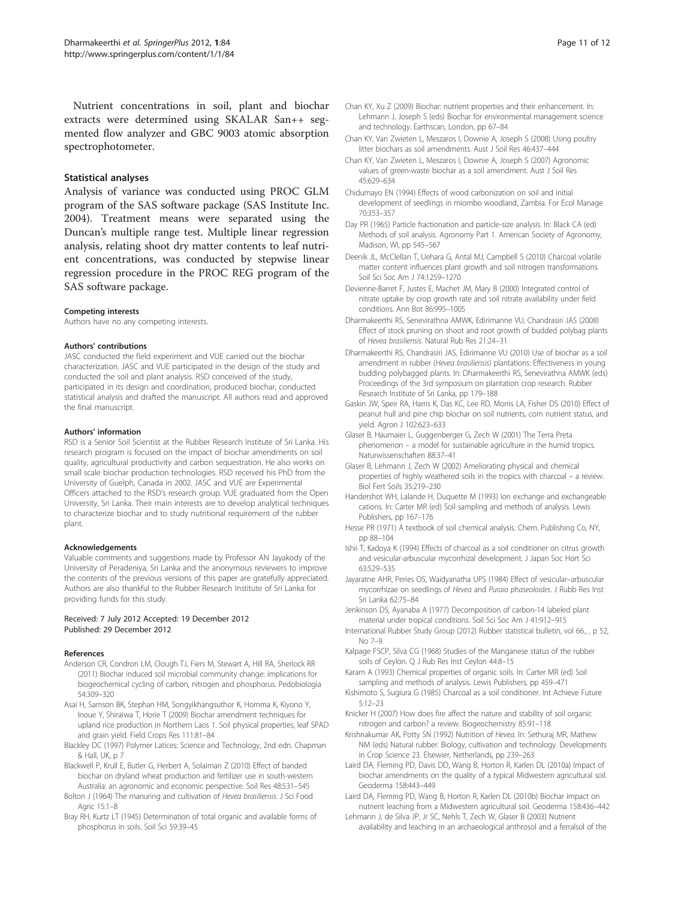#### <span id="page-10-0"></span>Statistical analyses

Analysis of variance was conducted using PROC GLM program of the SAS software package (SAS Institute Inc. [2004](#page-11-0)). Treatment means were separated using the Duncan's multiple range test. Multiple linear regression analysis, relating shoot dry matter contents to leaf nutrient concentrations, was conducted by stepwise linear regression procedure in the PROC REG program of the SAS software package.

#### Competing interests

Authors have no any competing interests.

#### Authors' contributions

JASC conducted the field experiment and VUE carried out the biochar characterization. JASC and VUE participated in the design of the study and conducted the soil and plant analysis. RSD conceived of the study, participated in its design and coordination, produced biochar, conducted statistical analysis and drafted the manuscript. All authors read and approved the final manuscript.

#### Authors' information

RSD is a Senior Soil Scientist at the Rubber Research Institute of Sri Lanka. His research program is focused on the impact of biochar amendments on soil quality, agricultural productivity and carbon sequestration. He also works on small scale biochar production technologies. RSD received his PhD from the University of Guelph, Canada in 2002. JASC and VUE are Experimental Officers attached to the RSD's research group. VUE graduated from the Open University, Sri Lanka. Their main interests are to develop analytical techniques to characterize biochar and to study nutritional requirement of the rubber plant.

#### Acknowledgements

Valuable comments and suggestions made by Professor AN Jayakody of the University of Peradeniya, Sri Lanka and the anonymous reviewers to improve the contents of the previous versions of this paper are gratefully appreciated. Authors are also thankful to the Rubber Research Institute of Sri Lanka for providing funds for this study.

#### Received: 7 July 2012 Accepted: 19 December 2012 Published: 29 December 2012

#### References

- Anderson CR, Condron LM, Clough TJ, Fiers M, Stewart A, Hill RA, Sherlock RR (2011) Biochar induced soil microbial community change: implications for biogeochemical cycling of carbon, nitrogen and phosphorus. Pedobiologia 54:309–320
- Asai H, Samson BK, Stephan HM, Songyikhangsuthor K, Homma K, Kiyono Y, Inoue Y, Shiraiwa T, Horie T (2009) Biochar amendment techniques for upland rice production in Northern Laos 1. Soil physical properties, leaf SPAD and grain yield. Field Crops Res 111:81–84
- Blackley DC (1997) Polymer Latices: Science and Technology, 2nd edn. Chapman & Hall, UK, p 7
- Blackwell P, Krull E, Butler G, Herbert A, Solaiman Z (2010) Effect of banded biochar on dryland wheat production and fertilizer use in south-western Australia: an agronomic and economic perspective. Soil Res 48:531–545
- Bolton J (1964) The manuring and cultivation of Hevea brasiliensis. J Sci Food Agric 15:1–8
- Bray RH, Kurtz LT (1945) Determination of total organic and available forms of phosphorus in soils. Soil Sci 59:39–45
- Chan KY, Xu Z (2009) Biochar: nutrient properties and their enhancement. In: Lehmann J, Joseph S (eds) Biochar for environmental management science and technology. Earthscan, London, pp 67–84
- Chan KY, Van Zwieten L, Meszaros I, Downie A, Joseph S (2008) Using poultry litter biochars as soil amendments. Aust J Soil Res 46:437–444
- Chan KY, Van Zwieten L, Meszaros I, Downie A, Joseph S (2007) Agronomic values of green-waste biochar as a soil amendment. Aust J Soil Res 45:629–634
- Chidumayo EN (1994) Effects of wood carbonization on soil and initial development of seedlings in miombo woodland, Zambia. For Ecol Manage 70:353–357
- Day PR (1965) Particle fractionation and particle-size analysis. In: Black CA (ed) Methods of soil analysis. Agronomy Part 1. American Society of Agronomy, Madison, WI, pp 545–567
- Deenik JL, McClellan T, Uehara G, Antal MJ, Campbell S (2010) Charcoal volatile matter content influences plant growth and soil nitrogen transformations. Soil Sci Soc Am J 74:1259–1270
- Devienne-Barret F, Justes E, Machet JM, Mary B (2000) Integrated control of nitrate uptake by crop growth rate and soil nitrate availability under field conditions. Ann Bot 86:995–1005
- Dharmakeerthi RS, Senevirathna AMWK, Edirimanne VU, Chandrasiri JAS (2008) Effect of stock pruning on shoot and root growth of budded polybag plants of Hevea brasiliensis. Natural Rub Res 21:24–31
- Dharmakeerthi RS, Chandrasiri JAS, Edirimanne VU (2010) Use of biochar as a soil amendment in rubber (Hevea brasiliensis) plantations: Effectiveness in young budding polybagged plants. In: Dharmakeerthi RS, Senevirathna AMWK (eds) Proceedings of the 3rd symposium on plantation crop research. Rubber Research Institute of Sri Lanka, pp 179–188
- Gaskin JW, Speir RA, Harris K, Das KC, Lee RD, Morris LA, Fisher DS (2010) Effect of peanut hull and pine chip biochar on soil nutrients, corn nutrient status, and yield. Agron J 102:623–633
- Glaser B, Haumaier L, Guggenberger G, Zech W (2001) The Terra Preta phenomenon – a model for sustainable agriculture in the humid tropics. Naturwissenschaften 88:37–41
- Glaser B, Lehmann J, Zech W (2002) Ameliorating physical and chemical properties of highly weathered soils in the tropics with charcoal – a review. Biol Fert Soils 35:219–230
- Handershot WH, Lalande H, Duquette M (1993) Ion exchange and exchangeable cations. In: Carter MR (ed) Soil sampling and methods of analysis. Lewis Publishers, pp 167–176
- Hesse PR (1971) A textbook of soil chemical analysis. Chem. Publishing Co, NY, pp 88–104
- Ishii T, Kadoya K (1994) Effects of charcoal as a soil conditioner on citrus growth and vesicular-arbuscular mycorrhizal development. J Japan Soc Hort Sci 63:529–535
- Jayaratne AHR, Peries OS, Waidyanatha UPS (1984) Effect of vesicular–arbuscular mycorrhizae on seedlings of Hevea and Puraia phaseoloides. J Rubb Res Inst Sri Lanka 62:75–84
- Jenkinson DS, Ayanaba A (1977) Decomposition of carbon-14 labeled plant material under tropical conditions. Soil Sci Soc Am J 41:912–915
- International Rubber Study Group (2012) Rubber statistical bulletin, vol 66., , p 52, No 7–9
- Kalpage FSCP, Silva CG (1968) Studies of the Manganese status of the rubber soils of Ceylon. Q J Rub Res Inst Ceylon 44:8–15
- Karam A (1993) Chemical properties of organic soils. In: Carter MR (ed) Soil sampling and methods of analysis. Lewis Publishers, pp 459–471
- Kishimoto S, Sugiura G (1985) Charcoal as a soil conditioner. Int Achieve Future 5:12–23
- Knicker H (2007) How does fire affect the nature and stability of soil organic nitrogen and carbon? a review. Biogeochemistry 85:91–118
- Krishnakumar AK, Potty SN (1992) Nutrition of Hevea. In: Sethuraj MR, Mathew NM (eds) Natural rubber: Biology, cultivation and technology. Developments in Crop Science 23. Elsewier, Netherlands, pp 239–263
- Laird DA, Fleming PD, Davis DD, Wang B, Horton R, Karlen DL (2010a) Impact of biochar amendments on the quality of a typical Midwestern agricultural soil. Geoderma 158:443–449
- Laird DA, Fleming PD, Wang B, Horton R, Karlen DL (2010b) Biochar impact on nutrient leaching from a Midwestern agricultural soil. Geoderma 158:436–442
- Lehmann J, de Silva JP, Jr SC, Nehls T, Zech W, Glaser B (2003) Nutrient availability and leaching in an archaeological anthrosol and a ferralsol of the